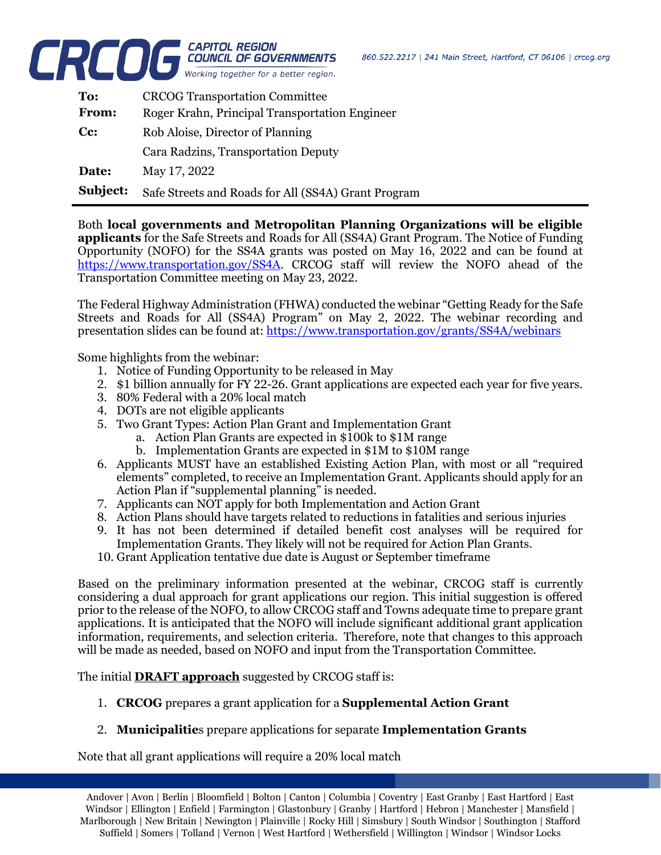

| To:      | <b>CRCOG Transportation Committee</b>               |
|----------|-----------------------------------------------------|
| From:    | Roger Krahn, Principal Transportation Engineer      |
| Cc:      | Rob Aloise, Director of Planning                    |
|          | Cara Radzins, Transportation Deputy                 |
| Date:    | May 17, 2022                                        |
| Subject: | Safe Streets and Roads for All (SS4A) Grant Program |

Both **local governments and Metropolitan Planning Organizations will be eligible applicants** for the Safe Streets and Roads for All (SS4A) Grant Program. The Notice of Funding Opportunity (NOFO) for the SS4A grants was posted on May 16, 2022 and can be found at [https://www.transportation.gov/SS4A.](https://www.transportation.gov/SS4A) CRCOG staff will review the NOFO ahead of the Transportation Committee meeting on May 23, 2022.

The Federal Highway Administration (FHWA) conducted the webinar "Getting Ready for the Safe Streets and Roads for All (SS4A) Program" on May 2, 2022. The webinar recording and presentation slides can be found at:<https://www.transportation.gov/grants/SS4A/webinars>

Some highlights from the webinar:

- 1. Notice of Funding Opportunity to be released in May
- 2. \$1 billion annually for FY 22-26. Grant applications are expected each year for five years.
- 3. 80% Federal with a 20% local match
- 4. DOTs are not eligible applicants
- 5. Two Grant Types: Action Plan Grant and Implementation Grant
	- a. Action Plan Grants are expected in \$100k to \$1M range
		- b. Implementation Grants are expected in \$1M to \$10M range
- 6. Applicants MUST have an established Existing Action Plan, with most or all "required elements" completed, to receive an Implementation Grant. Applicants should apply for an Action Plan if "supplemental planning" is needed.
- 7. Applicants can NOT apply for both Implementation and Action Grant
- 8. Action Plans should have targets related to reductions in fatalities and serious injuries
- 9. It has not been determined if detailed benefit cost analyses will be required for Implementation Grants. They likely will not be required for Action Plan Grants.
- 10. Grant Application tentative due date is August or September timeframe

Based on the preliminary information presented at the webinar, CRCOG staff is currently considering a dual approach for grant applications our region. This initial suggestion is offered prior to the release of the NOFO, to allow CRCOG staff and Towns adequate time to prepare grant applications. It is anticipated that the NOFO will include significant additional grant application information, requirements, and selection criteria. Therefore, note that changes to this approach will be made as needed, based on NOFO and input from the Transportation Committee.

The initial **DRAFT approach** suggested by CRCOG staff is:

- 1. **CRCOG** prepares a grant application for a **Supplemental Action Grant**
- 2. **Municipalitie**s prepare applications for separate **Implementation Grants**

Note that all grant applications will require a 20% local match